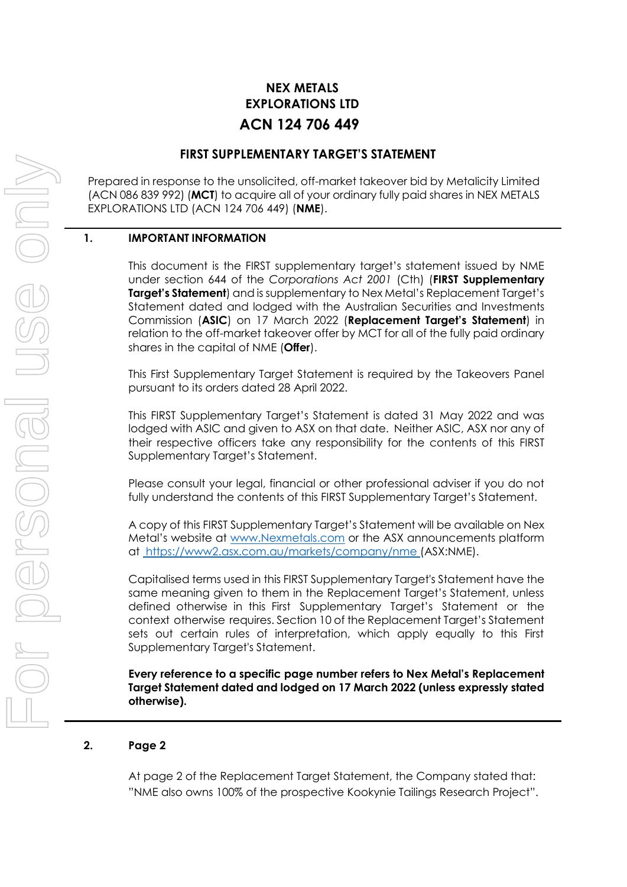# **NEX METALS EXPLORATIONS LTD ACN 124 706 449**

# **FIRST SUPPLEMENTARY TARGET'S STATEMENT**

Prepared in response to the unsolicited, off-market takeover bid by Metalicity Limited (ACN 086 839 992) (**MCT**) to acquire all of your ordinary fully paid shares in NEX METALS EXPLORATIONS LTD (ACN 124 706 449) (**NME**).

# **1. IMPORTANT INFORMATION**

This document is the FIRST supplementary target's statement issued by NME under section 644 of the *Corporations Act 2001* (Cth) (**FIRST Supplementary Target's Statement**) and is supplementary to Nex Metal's Replacement Target's Statement dated and lodged with the Australian Securities and Investments Commission (**ASIC**) on 17 March 2022 (**Replacement Target's Statement**) in relation to the off-market takeover offer by MCT for all of the fully paid ordinary shares in the capital of NME (**Offer**).

This First Supplementary Target Statement is required by the Takeovers Panel pursuant to its orders dated 28 April 2022.

This FIRST Supplementary Target's Statement is dated 31 May 2022 and was lodged with ASIC and given to ASX on that date. Neither ASIC, ASX nor any of their respective officers take any responsibility for the contents of this FIRST Supplementary Target's Statement.

Please consult your legal, financial or other professional adviser if you do not fully understand the contents of this FIRST Supplementary Target's Statement.

A copy of this FIRST Supplementary Target's Statement will be available on Nex Metal's website at [www.Nexmetals.com](http://www.nexmetals.com/) or the ASX announcements platform at [https://www2.asx.com.au/markets/company/nme \(](file:///C:/Users/Bradley/AppData/Local/Microsoft/Windows/INetCache/Content.Outlook/8FML9F5H/%20https:/www2.asx.com.au/markets/company/nme)ASX:NME).

Capitalised terms used in this FIRST Supplementary Target's Statement have the same meaning given to them in the Replacement Target's Statement, unless defined otherwise in this First Supplementary Target's Statement or the context otherwise requires. Section 10 of the Replacement Target's Statement sets out certain rules of interpretation, which apply equally to this First Supplementary Target's Statement.

**Every reference to a specific page number refers to Nex Metal's Replacement Target Statement dated and lodged on 17 March 2022 (unless expressly stated otherwise).**

### **2. Page 2**

At page 2 of the Replacement Target Statement, the Company stated that: "NME also owns 100% of the prospective Kookynie Tailings Research Project".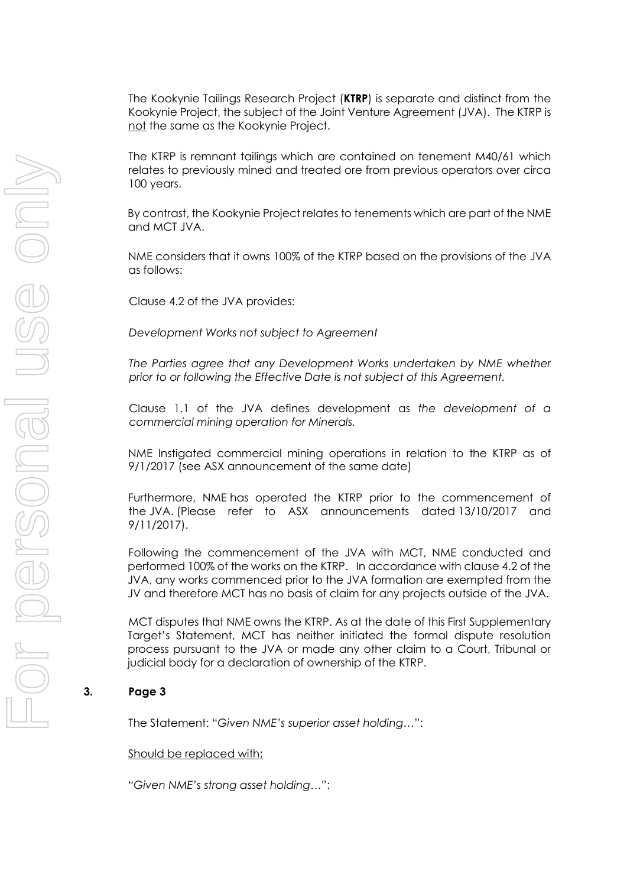The Kookynie Tailings Research Project (**KTRP**) is separate and distinct from the Kookynie Project, the subject of the Joint Venture Agreement (JVA). The KTRP is not the same as the Kookynie Project.

The KTRP is remnant tailings which are contained on tenement M40/61 which relates to previously mined and treated ore from previous operators over circa 100 years.

By contrast, the Kookynie Project relates to tenements which are part of the NME and MCT JVA.

NME considers that it owns 100% of the KTRP based on the provisions of the JVA as follows:

Clause 4.2 of the JVA provides:

*Development Works not subject to Agreement*

*The Parties agree that any Development Works undertaken by NME whether prior to or following the Effective Date is not subject of this Agreement.*

Clause 1.1 of the JVA defines development as *the development of a commercial mining operation for Minerals.*

NME Instigated commercial mining operations in relation to the KTRP as of 9/1/2017 (see ASX announcement of the same date)

Furthermore, NME has operated the KTRP prior to the commencement of the JVA. (Please refer to ASX announcements dated 13/10/2017 and 9/11/2017).

Following the commencement of the JVA with MCT, NME conducted and performed 100% of the works on the KTRP. In accordance with clause 4.2 of the JVA, any works commenced prior to the JVA formation are exempted from the JV and therefore MCT has no basis of claim for any projects outside of the JVA.

MCT disputes that NME owns the KTRP. As at the date of this First Supplementary Target's Statement, MCT has neither initiated the formal dispute resolution process pursuant to the JVA or made any other claim to a Court, Tribunal or judicial body for a declaration of ownership of the KTRP.

# **3. Page 3**

The Statement: "*Given NME's superior asset holding…*":

#### Should be replaced with:

*"Given NME's strong asset holding…"*: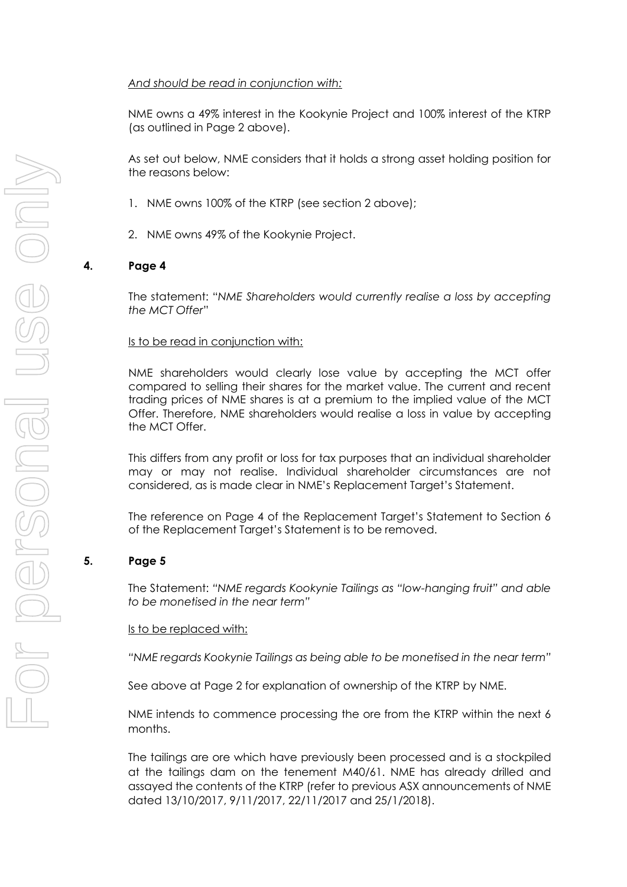# *And should be read in conjunction with:*

NME owns a 49% interest in the Kookynie Project and 100% interest of the KTRP (as outlined in Page 2 above).

As set out below, NME considers that it holds a strong asset holding position for the reasons below:

- 1. NME owns 100% of the KTRP (see section 2 above);
- 2. NME owns 49% of the Kookynie Project.

# **4. Page 4**

The statement: "*NME Shareholders would currently realise a loss by accepting the MCT Offer*"

### Is to be read in conjunction with:

NME shareholders would clearly lose value by accepting the MCT offer compared to selling their shares for the market value. The current and recent trading prices of NME shares is at a premium to the implied value of the MCT Offer. Therefore, NME shareholders would realise a loss in value by accepting the MCT Offer.

This differs from any profit or loss for tax purposes that an individual shareholder may or may not realise. Individual shareholder circumstances are not considered, as is made clear in NME's Replacement Target's Statement.

The reference on Page 4 of the Replacement Target's Statement to Section 6 of the Replacement Target's Statement is to be removed.

### **5. Page 5**

The Statement: *"NME regards Kookynie Tailings as "low-hanging fruit" and able to be monetised in the near term"*

### Is to be replaced with:

*"NME regards Kookynie Tailings as being able to be monetised in the near term"*

See above at Page 2 for explanation of ownership of the KTRP by NME.

NME intends to commence processing the ore from the KTRP within the next 6 months.

The tailings are ore which have previously been processed and is a stockpiled at the tailings dam on the tenement M40/61. NME has already drilled and assayed the contents of the KTRP (refer to previous ASX announcements of NME dated 13/10/2017, 9/11/2017, 22/11/2017 and 25/1/2018).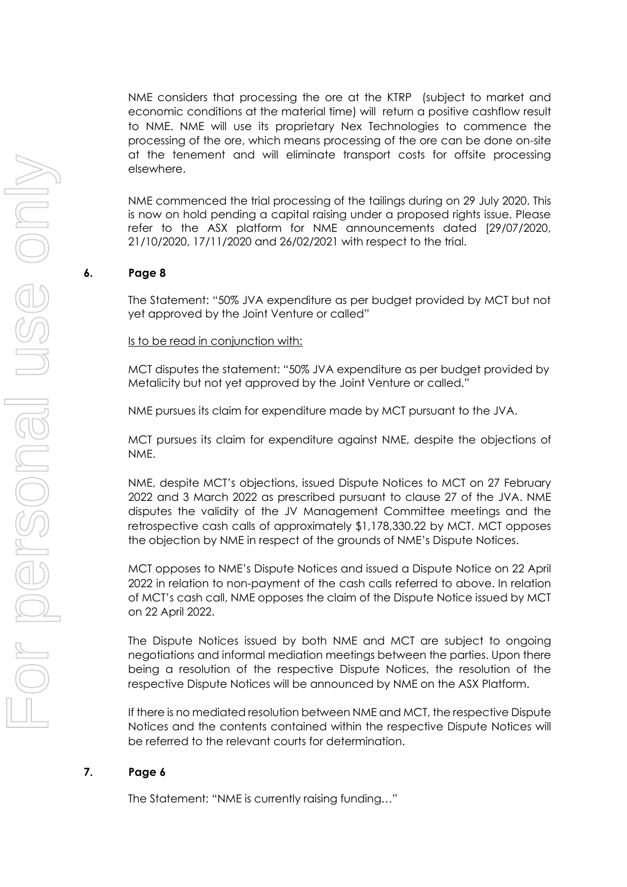NME considers that processing the ore at the KTRP (subject to market and economic conditions at the material time) will return a positive cashflow result to NME. NME will use its proprietary Nex Technologies to commence the processing of the ore, which means processing of the ore can be done on-site at the tenement and will eliminate transport costs for offsite processing elsewhere.

NME commenced the trial processing of the tailings during on 29 July 2020. This is now on hold pending a capital raising under a proposed rights issue. Please refer to the ASX platform for NME announcements dated [29/07/2020, 21/10/2020, 17/11/2020 and 26/02/2021 with respect to the trial.

# **6. Page 8**

The Statement: "50% JVA expenditure as per budget provided by MCT but not yet approved by the Joint Venture or called"

Is to be read in conjunction with:

MCT disputes the statement: "50% JVA expenditure as per budget provided by Metalicity but not yet approved by the Joint Venture or called."

NME pursues its claim for expenditure made by MCT pursuant to the JVA.

MCT pursues its claim for expenditure against NME, despite the objections of NME.

NME, despite MCT's objections, issued Dispute Notices to MCT on 27 February 2022 and 3 March 2022 as prescribed pursuant to clause 27 of the JVA. NME disputes the validity of the JV Management Committee meetings and the retrospective cash calls of approximately \$1,178,330.22 by MCT. MCT opposes the objection by NME in respect of the grounds of NME's Dispute Notices.

MCT opposes to NME's Dispute Notices and issued a Dispute Notice on 22 April 2022 in relation to non-payment of the cash calls referred to above. In relation of MCT's cash call, NME opposes the claim of the Dispute Notice issued by MCT on 22 April 2022.

The Dispute Notices issued by both NME and MCT are subject to ongoing negotiations and informal mediation meetings between the parties. Upon there being a resolution of the respective Dispute Notices, the resolution of the respective Dispute Notices will be announced by NME on the ASX Platform.

If there is no mediated resolution between NME and MCT, the respective Dispute Notices and the contents contained within the respective Dispute Notices will be referred to the relevant courts for determination.

### **7. Page 6**

The Statement: "NME is currently raising funding…"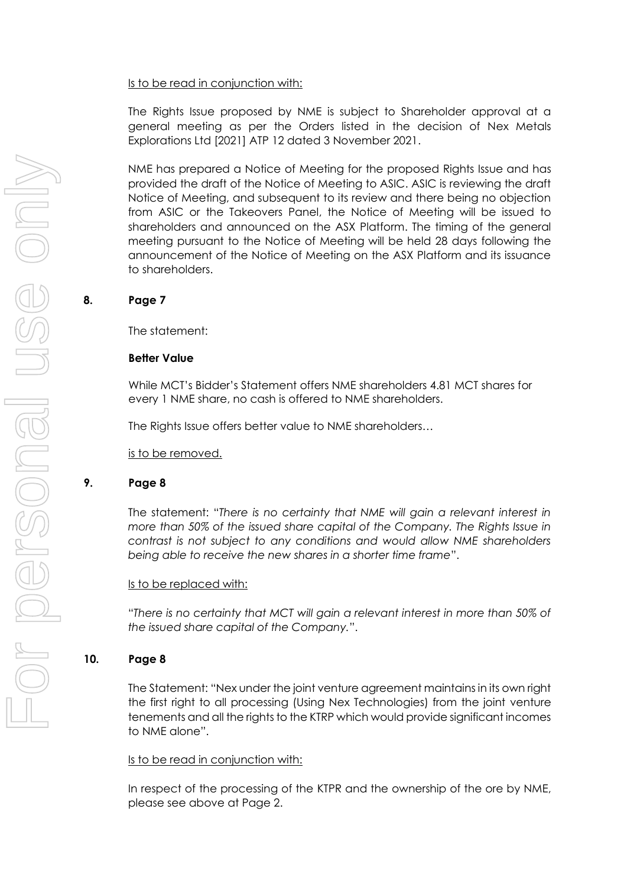### Is to be read in conjunction with:

The Rights Issue proposed by NME is subject to Shareholder approval at a general meeting as per the Orders listed in the decision of Nex Metals Explorations Ltd [2021] ATP 12 dated 3 November 2021.

NME has prepared a Notice of Meeting for the proposed Rights Issue and has provided the draft of the Notice of Meeting to ASIC. ASIC is reviewing the draft Notice of Meeting, and subsequent to its review and there being no objection from ASIC or the Takeovers Panel, the Notice of Meeting will be issued to shareholders and announced on the ASX Platform. The timing of the general meeting pursuant to the Notice of Meeting will be held 28 days following the announcement of the Notice of Meeting on the ASX Platform and its issuance to shareholders.

# **8. Page 7**

The statement:

# **Better Value**

While MCT's Bidder's Statement offers NME shareholders 4.81 MCT shares for every 1 NME share, no cash is offered to NME shareholders.

The Rights Issue offers better value to NME shareholders…

is to be removed.

# **9. Page 8**

The statement: "*There is no certainty that NME will gain a relevant interest in more than 50% of the issued share capital of the Company. The Rights Issue in contrast is not subject to any conditions and would allow NME shareholders being able to receive the new shares in a shorter time frame*".

### Is to be replaced with:

"*There is no certainty that MCT will gain a relevant interest in more than 50% of the issued share capital of the Company.*".

# **10. Page 8**

The Statement: "Nex under the joint venture agreement maintains in its own right the first right to all processing (Using Nex Technologies) from the joint venture tenements and all the rights to the KTRP which would provide significant incomes to NME alone".

# Is to be read in conjunction with:

In respect of the processing of the KTPR and the ownership of the ore by NME, please see above at Page 2.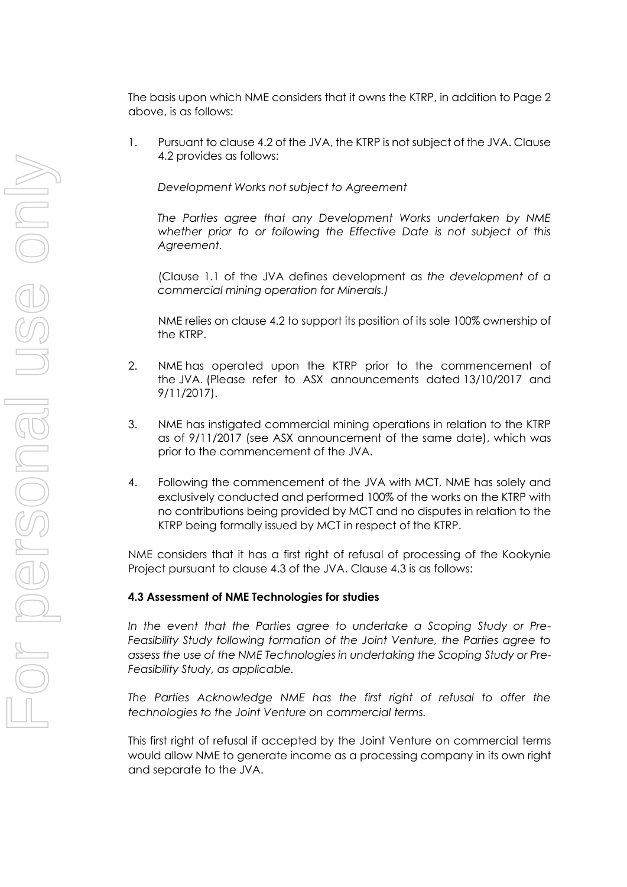The basis upon which NME considers that it owns the KTRP, in addition to Page 2 above, is as follows:

1. Pursuant to clause 4.2 of the JVA, the KTRP is not subject of the JVA. Clause 4.2 provides as follows:

*Development Works not subject to Agreement*

*The Parties agree that any Development Works undertaken by NME whether prior to or following the Effective Date is not subject of this Agreement.*

(Clause 1.1 of the JVA defines development as *the development of a commercial mining operation for Minerals.)*

NME relies on clause 4.2 to support its position of its sole 100% ownership of the KTRP.

- 2. NME has operated upon the KTRP prior to the commencement of the JVA. (Please refer to ASX announcements dated 13/10/2017 and 9/11/2017).
- 3. NME has instigated commercial mining operations in relation to the KTRP as of 9/11/2017 (see ASX announcement of the same date), which was prior to the commencement of the JVA.
- 4. Following the commencement of the JVA with MCT, NME has solely and exclusively conducted and performed 100% of the works on the KTRP with no contributions being provided by MCT and no disputes in relation to the KTRP being formally issued by MCT in respect of the KTRP.

NME considers that it has a first right of refusal of processing of the Kookynie Project pursuant to clause 4.3 of the JVA. Clause 4.3 is as follows:

# **4.3 Assessment of NME Technologies for studies**

*In the event that the Parties agree to undertake a Scoping Study or Pre-Feasibility Study following formation of the Joint Venture, the Parties agree to assess the use of the NME Technologies in undertaking the Scoping Study or Pre-Feasibility Study, as applicable.*

*The Parties Acknowledge NME has the first right of refusal to offer the technologies to the Joint Venture on commercial terms.*

This first right of refusal if accepted by the Joint Venture on commercial terms would allow NME to generate income as a processing company in its own right and separate to the JVA.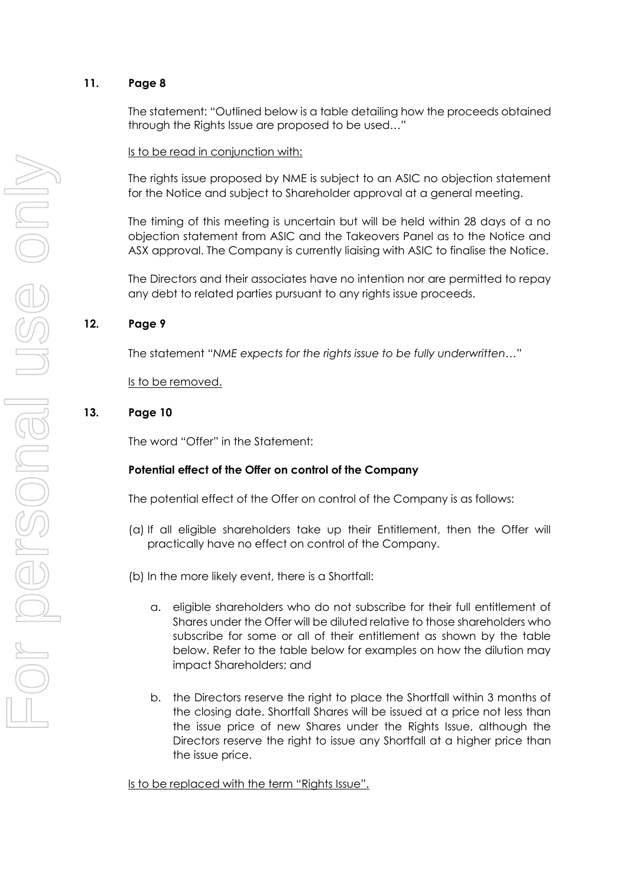# **11. Page 8**

The statement: "Outlined below is a table detailing how the proceeds obtained through the Rights Issue are proposed to be used…"

Is to be read in conjunction with:

The rights issue proposed by NME is subject to an ASIC no objection statement for the Notice and subject to Shareholder approval at a general meeting.

The timing of this meeting is uncertain but will be held within 28 days of a no objection statement from ASIC and the Takeovers Panel as to the Notice and ASX approval. The Company is currently liaising with ASIC to finalise the Notice.

The Directors and their associates have no intention nor are permitted to repay any debt to related parties pursuant to any rights issue proceeds.

# **12. Page 9**

The statement "*NME expects for the rights issue to be fully underwritten…*"

Is to be removed.

# **13. Page 10**

The word "Offer" in the Statement:

# **Potential effect of the Offer on control of the Company**

The potential effect of the Offer on control of the Company is as follows:

- (a) If all eligible shareholders take up their Entitlement, then the Offer will practically have no effect on control of the Company.
- (b) In the more likely event, there is a Shortfall:
	- a. eligible shareholders who do not subscribe for their full entitlement of Shares under the Offer will be diluted relative to those shareholders who subscribe for some or all of their entitlement as shown by the table below. Refer to the table below for examples on how the dilution may impact Shareholders; and
	- b. the Directors reserve the right to place the Shortfall within 3 months of the closing date. Shortfall Shares will be issued at a price not less than the issue price of new Shares under the Rights Issue, although the Directors reserve the right to issue any Shortfall at a higher price than the issue price.

Is to be replaced with the term "Rights Issue".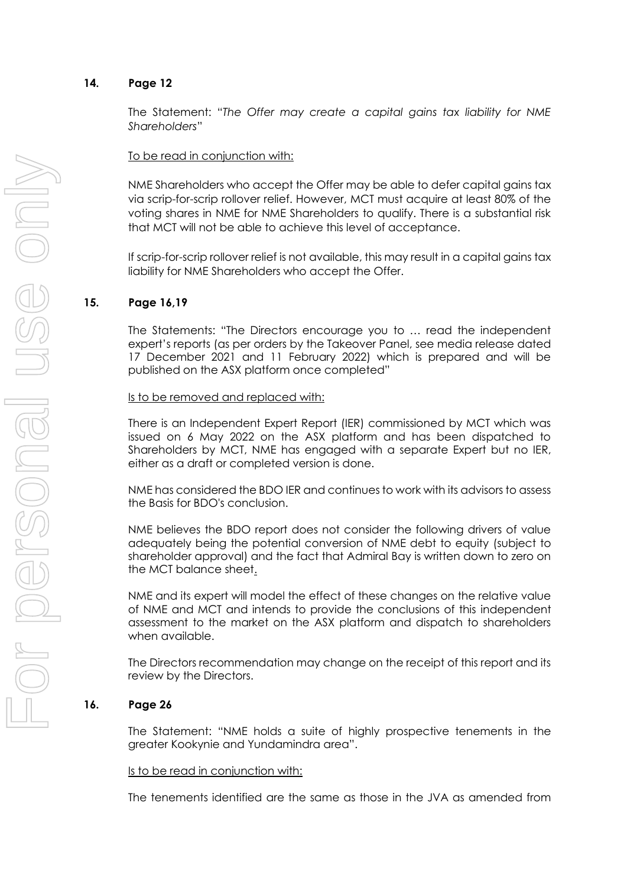# **14. Page 12**

The Statement: "*The Offer may create a capital gains tax liability for NME Shareholders*"

# To be read in conjunction with:

NME Shareholders who accept the Offer may be able to defer capital gains tax via scrip-for-scrip rollover relief. However, MCT must acquire at least 80% of the voting shares in NME for NME Shareholders to qualify. There is a substantial risk that MCT will not be able to achieve this level of acceptance.

If scrip-for-scrip rollover relief is not available, this may result in a capital gains tax liability for NME Shareholders who accept the Offer.

# **15. Page 16,19**

The Statements: "The Directors encourage you to … read the independent expert's reports (as per orders by the Takeover Panel, see media release dated 17 December 2021 and 11 February 2022) which is prepared and will be published on the ASX platform once completed"

#### Is to be removed and replaced with:

There is an Independent Expert Report (IER) commissioned by MCT which was issued on 6 May 2022 on the ASX platform and has been dispatched to Shareholders by MCT, NME has engaged with a separate Expert but no IER, either as a draft or completed version is done.

NME has considered the BDO IER and continues to work with its advisors to assess the Basis for BDO's conclusion.

NME believes the BDO report does not consider the following drivers of value adequately being the potential conversion of NME debt to equity (subject to shareholder approval) and the fact that Admiral Bay is written down to zero on the MCT balance sheet.

NME and its expert will model the effect of these changes on the relative value of NME and MCT and intends to provide the conclusions of this independent assessment to the market on the ASX platform and dispatch to shareholders when available.

The Directors recommendation may change on the receipt of this report and its review by the Directors.

### **16. Page 26**

The Statement: "NME holds a suite of highly prospective tenements in the greater Kookynie and Yundamindra area".

#### Is to be read in conjunction with:

The tenements identified are the same as those in the JVA as amended from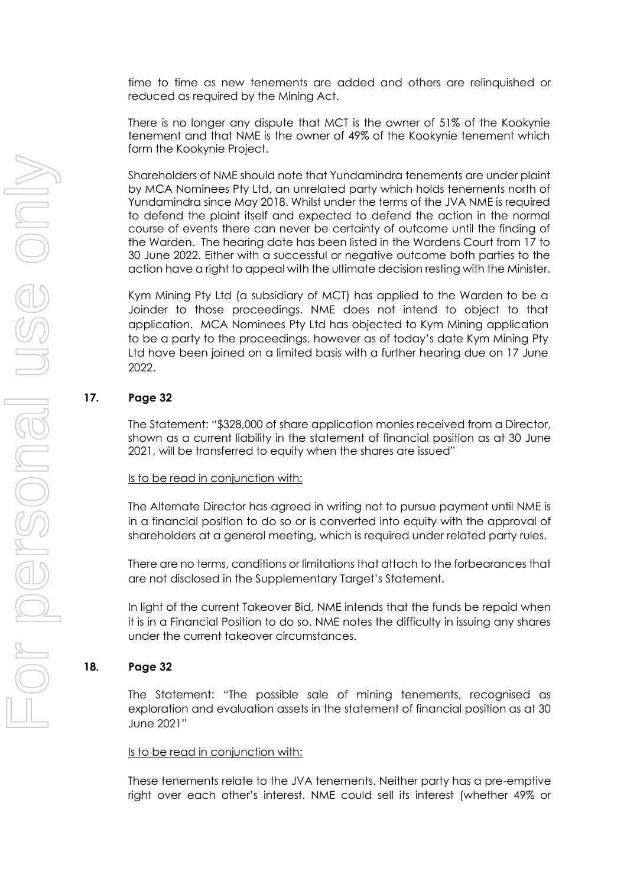time to time as new tenements are added and others are relinquished or reduced as required by the Mining Act.

There is no longer any dispute that MCT is the owner of 51% of the Kookynie tenement and that NME is the owner of 49% of the Kookynie tenement which form the Kookynie Project.

Shareholders of NME should note that Yundamindra tenements are under plaint by MCA Nominees Pty Ltd, an unrelated party which holds tenements north of Yundamindra since May 2018. Whilst under the terms of the JVA NME is required to defend the plaint itself and expected to defend the action in the normal course of events there can never be certainty of outcome until the finding of the Warden. The hearing date has been listed in the Wardens Court from 17 to 30 June 2022. Either with a successful or negative outcome both parties to the action have a right to appeal with the ultimate decision resting with the Minister.

Kym Mining Pty Ltd (a subsidiary of MCT) has applied to the Warden to be a Joinder to those proceedings. NME does not intend to object to that application. MCA Nominees Pty Ltd has objected to Kym Mining application to be a party to the proceedings, however as of today's date Kym Mining Pty Ltd have been joined on a limited basis with a further hearing due on 17 June 2022.

# **17. Page 32**

The Statement: "\$328,000 of share application monies received from a Director, shown as a current liability in the statement of financial position as at 30 June 2021, will be transferred to equity when the shares are issued"

### Is to be read in conjunction with:

The Alternate Director has agreed in writing not to pursue payment until NME is in a financial position to do so or is converted into equity with the approval of shareholders at a general meeting, which is required under related party rules.

There are no terms, conditions or limitations that attach to the forbearances that are not disclosed in the Supplementary Target's Statement.

In light of the current Takeover Bid, NME intends that the funds be repaid when it is in a Financial Position to do so. NME notes the difficulty in issuing any shares under the current takeover circumstances.

# **18. Page 32**

The Statement: "The possible sale of mining tenements, recognised as exploration and evaluation assets in the statement of financial position as at 30 June 2021"

### Is to be read in conjunction with:

These tenements relate to the JVA tenements. Neither party has a pre-emptive right over each other's interest. NME could sell its interest (whether 49% or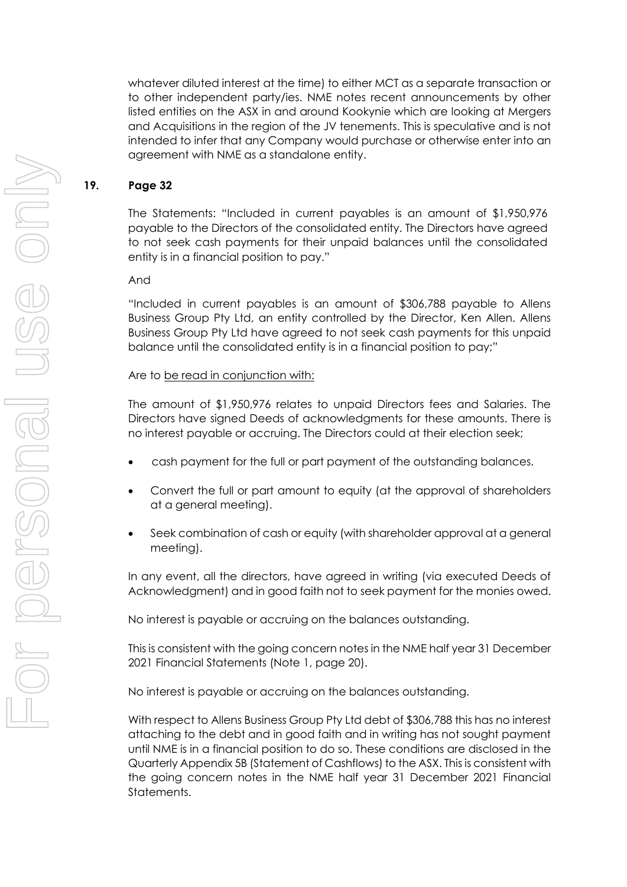whatever diluted interest at the time) to either MCT as a separate transaction or to other independent party/ies. NME notes recent announcements by other listed entities on the ASX in and around Kookynie which are looking at Mergers and Acquisitions in the region of the JV tenements. This is speculative and is not intended to infer that any Company would purchase or otherwise enter into an agreement with NME as a standalone entity.

# **19. Page 32**

The Statements: "Included in current payables is an amount of \$1,950,976 payable to the Directors of the consolidated entity. The Directors have agreed to not seek cash payments for their unpaid balances until the consolidated entity is in a financial position to pay."

And

"Included in current payables is an amount of \$306,788 payable to Allens Business Group Pty Ltd, an entity controlled by the Director, Ken Allen. Allens Business Group Pty Ltd have agreed to not seek cash payments for this unpaid balance until the consolidated entity is in a financial position to pay;"

# Are to be read in conjunction with:

The amount of \$1,950,976 relates to unpaid Directors fees and Salaries. The Directors have signed Deeds of acknowledgments for these amounts. There is no interest payable or accruing. The Directors could at their election seek;

- cash payment for the full or part payment of the outstanding balances.
- Convert the full or part amount to equity (at the approval of shareholders at a general meeting).
- Seek combination of cash or equity (with shareholder approval at a general meeting).

In any event, all the directors, have agreed in writing (via executed Deeds of Acknowledgment) and in good faith not to seek payment for the monies owed.

No interest is payable or accruing on the balances outstanding.

This is consistent with the going concern notes in the NME half year 31 December 2021 Financial Statements (Note 1, page 20).

No interest is payable or accruing on the balances outstanding.

With respect to Allens Business Group Pty Ltd debt of \$306,788 this has no interest attaching to the debt and in good faith and in writing has not sought payment until NME is in a financial position to do so. These conditions are disclosed in the Quarterly Appendix 5B (Statement of Cashflows) to the ASX. This is consistent with the going concern notes in the NME half year 31 December 2021 Financial Statements.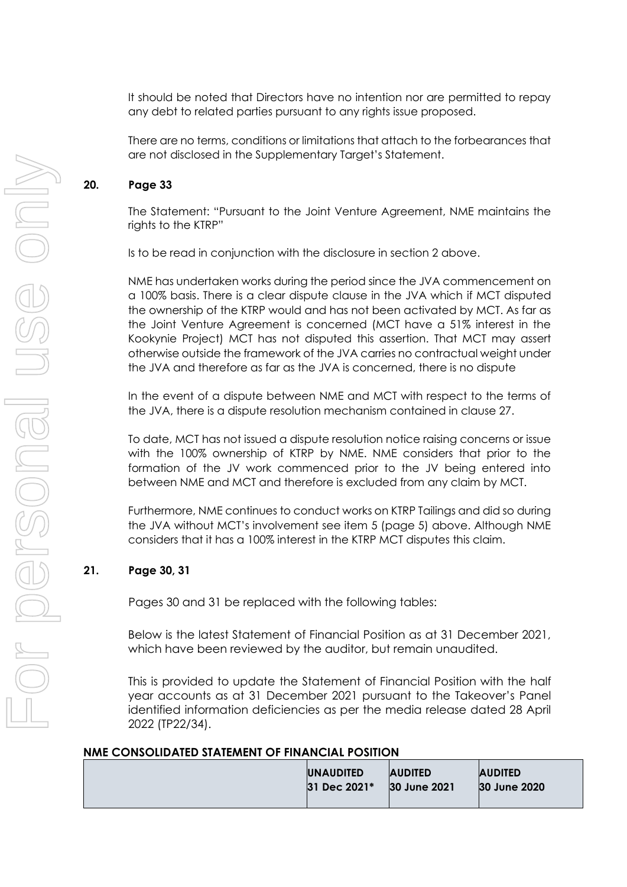It should be noted that Directors have no intention nor are permitted to repay any debt to related parties pursuant to any rights issue proposed.

There are no terms, conditions or limitations that attach to the forbearances that are not disclosed in the Supplementary Target's Statement.

# **20. Page 33**

The Statement: "Pursuant to the Joint Venture Agreement, NME maintains the rights to the KTRP"

Is to be read in conjunction with the disclosure in section 2 above.

NME has undertaken works during the period since the JVA commencement on a 100% basis. There is a clear dispute clause in the JVA which if MCT disputed the ownership of the KTRP would and has not been activated by MCT. As far as the Joint Venture Agreement is concerned (MCT have a 51% interest in the Kookynie Project) MCT has not disputed this assertion. That MCT may assert otherwise outside the framework of the JVA carries no contractual weight under the JVA and therefore as far as the JVA is concerned, there is no dispute

In the event of a dispute between NME and MCT with respect to the terms of the JVA, there is a dispute resolution mechanism contained in clause 27.

To date, MCT has not issued a dispute resolution notice raising concerns or issue with the 100% ownership of KTRP by NME. NME considers that prior to the formation of the JV work commenced prior to the JV being entered into between NME and MCT and therefore is excluded from any claim by MCT.

Furthermore, NME continues to conduct works on KTRP Tailings and did so during the JVA without MCT's involvement see item 5 (page 5) above. Although NME considers that it has a 100% interest in the KTRP MCT disputes this claim.

# **21. Page 30, 31**

Pages 30 and 31 be replaced with the following tables:

Below is the latest Statement of Financial Position as at 31 December 2021, which have been reviewed by the auditor, but remain unaudited.

This is provided to update the Statement of Financial Position with the half year accounts as at 31 December 2021 pursuant to the Takeover's Panel identified information deficiencies as per the media release dated 28 April 2022 (TP22/34).

### **NME CONSOLIDATED STATEMENT OF FINANCIAL POSITION**

|  | <b>UNAUDITED</b><br>31 Dec 2021* | <b>AUDITED</b><br>30 June 2021 | <b>AUDITED</b><br>30 June 2020 |
|--|----------------------------------|--------------------------------|--------------------------------|
|  |                                  |                                |                                |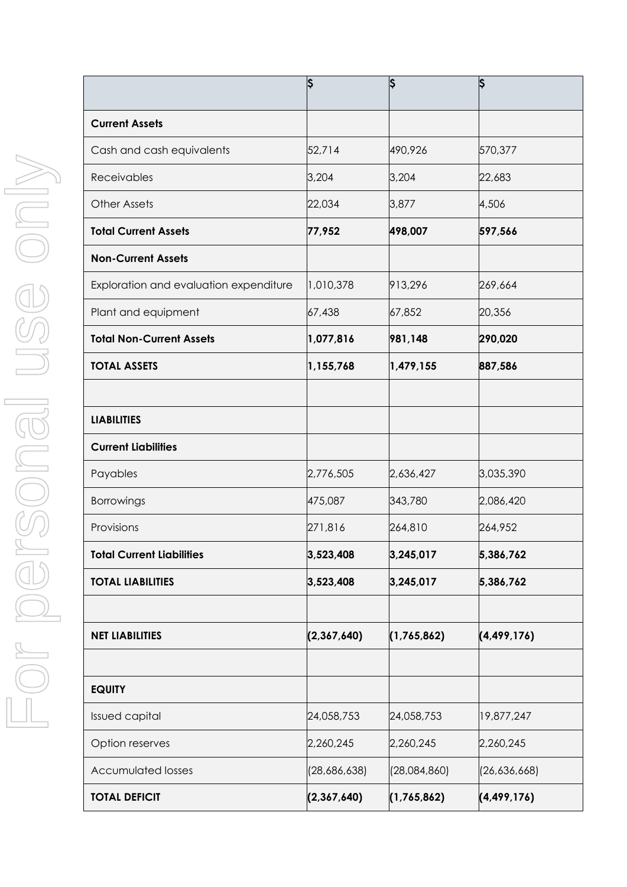|                                        | Ş            | ¦\$          | ļ\$           |
|----------------------------------------|--------------|--------------|---------------|
| <b>Current Assets</b>                  |              |              |               |
| Cash and cash equivalents              | 52,714       | 490,926      | 570,377       |
| <b>Receivables</b>                     | 3,204        | 3,204        | 22,683        |
| <b>Other Assets</b>                    | 22,034       | 3,877        | 4,506         |
| <b>Total Current Assets</b>            | 77,952       | 498,007      | 597,566       |
| <b>Non-Current Assets</b>              |              |              |               |
| Exploration and evaluation expenditure | 1,010,378    | 913,296      | 269,664       |
| Plant and equipment                    | 67,438       | 67,852       | 20,356        |
| <b>Total Non-Current Assets</b>        | 1,077,816    | 981,148      | 290,020       |
| <b>TOTAL ASSETS</b>                    | 1,155,768    | 1,479,155    | 887,586       |
|                                        |              |              |               |
| <b>LIABILITIES</b>                     |              |              |               |
| <b>Current Liabilities</b>             |              |              |               |
| Payables                               | 2,776,505    | 2,636,427    | 3,035,390     |
| Borrowings                             | 475,087      | 343,780      | 2,086,420     |
| Provisions                             | 271,816      | 264,810      | 264,952       |
| <b>Total Current Liabilities</b>       | 3,523,408    | 3,245,017    | 5,386,762     |
| <b>TOTAL LIABILITIES</b>               | 3,523,408    | 3,245,017    | 5,386,762     |
|                                        |              |              |               |
| <b>NET LIABILITIES</b>                 | (2,367,640)  | (1,765,862)  | (4, 499, 176) |
|                                        |              |              |               |
| <b>EQUITY</b>                          |              |              |               |
| <b>Issued capital</b>                  | 24,058,753   | 24,058,753   | 19,877,247    |
| Option reserves                        | 2,260,245    | 2,260,245    | 2,260,245     |
| <b>Accumulated losses</b>              | (28,686,638) | (28,084,860) | (26,636,668)  |
| <b>TOTAL DEFICIT</b>                   | (2,367,640)  | (1,765,862)  | (4, 499, 176) |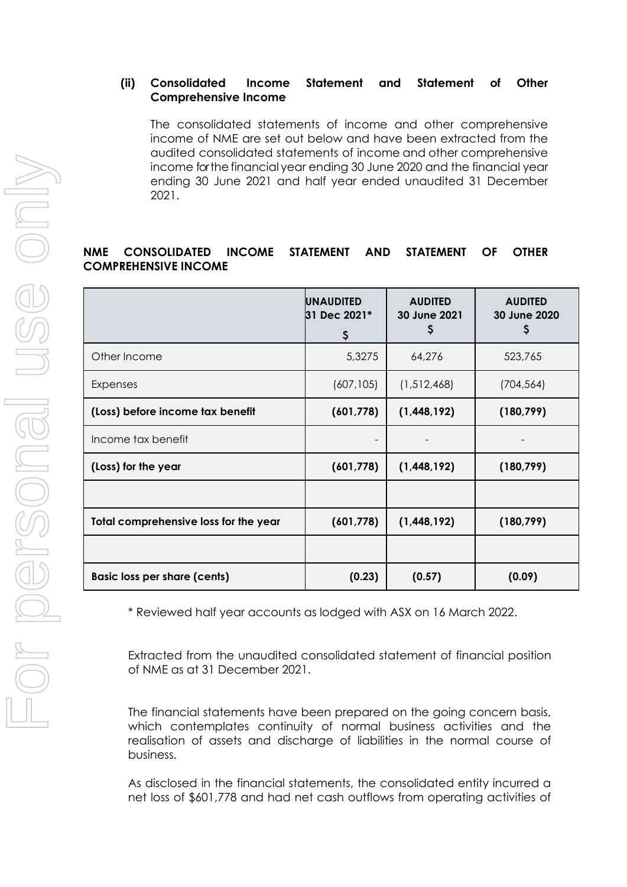# **(ii) Consolidated Income Statement and Statement of Other Comprehensive Income**

The consolidated statements of income and other comprehensive income of NME are set out below and have been extracted from the audited consolidated statements of income and other comprehensive income for the financial year ending 30 June 2020 and the financial year ending 30 June 2021 and half year ended unaudited 31 December 2021.

# **NME CONSOLIDATED INCOME STATEMENT AND STATEMENT OF OTHER COMPREHENSIVE INCOME**

|                                       | <b>UNAUDITED</b><br>31 Dec 2021*<br>\$ | <b>AUDITED</b><br>30 June 2021<br>\$ | <b>AUDITED</b><br>30 June 2020<br>Ş |
|---------------------------------------|----------------------------------------|--------------------------------------|-------------------------------------|
| Other Income                          | 5,3275                                 | 64,276                               | 523,765                             |
| Expenses                              | (607, 105)                             | (1,512,468)                          | (704, 564)                          |
| (Loss) before income tax benefit      | (601, 778)                             | (1,448,192)                          | (180, 799)                          |
| Income tax benefit                    |                                        |                                      |                                     |
| (Loss) for the year                   | (601, 778)                             | (1,448,192)                          | (180, 799)                          |
|                                       |                                        |                                      |                                     |
| Total comprehensive loss for the year | (601, 778)                             | (1,448,192)                          | (180, 799)                          |
|                                       |                                        |                                      |                                     |
| <b>Basic loss per share (cents)</b>   | (0.23)                                 | (0.57)                               | (0.09)                              |

\* Reviewed half year accounts as lodged with ASX on 16 March 2022.

Extracted from the unaudited consolidated statement of financial position of NME as at 31 December 2021.

The financial statements have been prepared on the going concern basis, which contemplates continuity of normal business activities and the realisation of assets and discharge of liabilities in the normal course of business.

As disclosed in the financial statements, the consolidated entity incurred a net loss of \$601,778 and had net cash outflows from operating activities of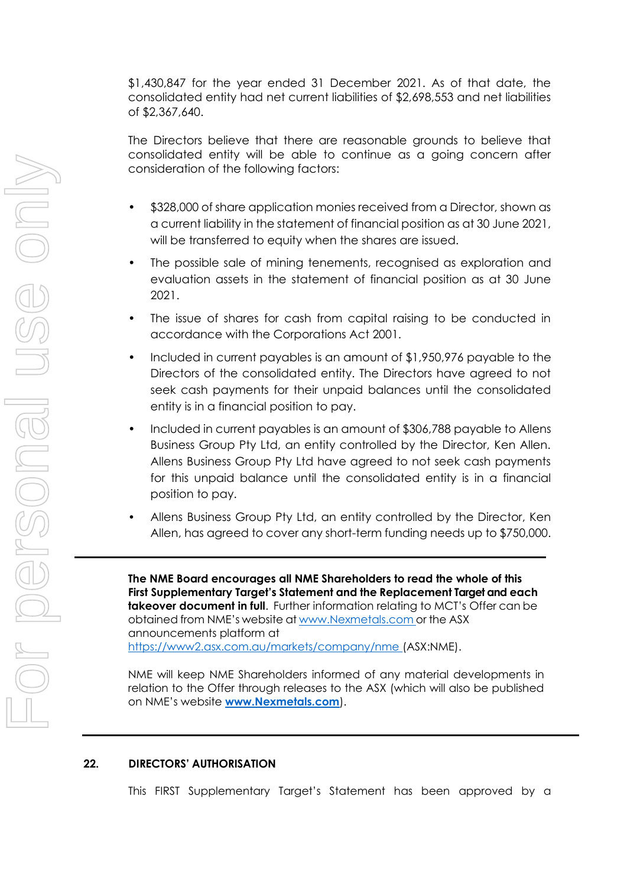\$1,430,847 for the year ended 31 December 2021. As of that date, the consolidated entity had net current liabilities of \$2,698,553 and net liabilities of \$2,367,640.

The Directors believe that there are reasonable grounds to believe that consolidated entity will be able to continue as a going concern after consideration of the following factors:

- \$328,000 of share application monies received from a Director, shown as a current liability in the statement of financial position as at 30 June 2021, will be transferred to equity when the shares are issued.
- The possible sale of mining tenements, recognised as exploration and evaluation assets in the statement of financial position as at 30 June 2021.
- The issue of shares for cash from capital raising to be conducted in accordance with the Corporations Act 2001.
- Included in current payables is an amount of \$1,950,976 payable to the Directors of the consolidated entity. The Directors have agreed to not seek cash payments for their unpaid balances until the consolidated entity is in a financial position to pay.
- Included in current payables is an amount of \$306,788 payable to Allens Business Group Pty Ltd, an entity controlled by the Director, Ken Allen. Allens Business Group Pty Ltd have agreed to not seek cash payments for this unpaid balance until the consolidated entity is in a financial position to pay.
- Allens Business Group Pty Ltd, an entity controlled by the Director, Ken Allen, has agreed to cover any short-term funding needs up to \$750,000.

**The NME Board encourages all NME Shareholders to read the whole of this First Supplementary Target's Statement and the Replacement Target and each takeover document in full**. Further information relating to MCT's Offer can be obtained from NME's website at www.Nexmetals.com or the ASX announcements platform at [https://www2.asx.com.au/markets/company/nme \(](file:///C:/Users/Bradley/AppData/Local/Microsoft/Windows/INetCache/Content.Outlook/8FML9F5H/%20https:/www2.asx.com.au/markets/company/nme)ASX:NME).

NME will keep NME Shareholders informed of any material developments in relation to the Offer through releases to the ASX (which will also be published on NME's website **[www.Nexmetals.com](http://www.nexmetals.com/)**).

# **22. DIRECTORS' AUTHORISATION**

This FIRST Supplementary Target's Statement has been approved by a